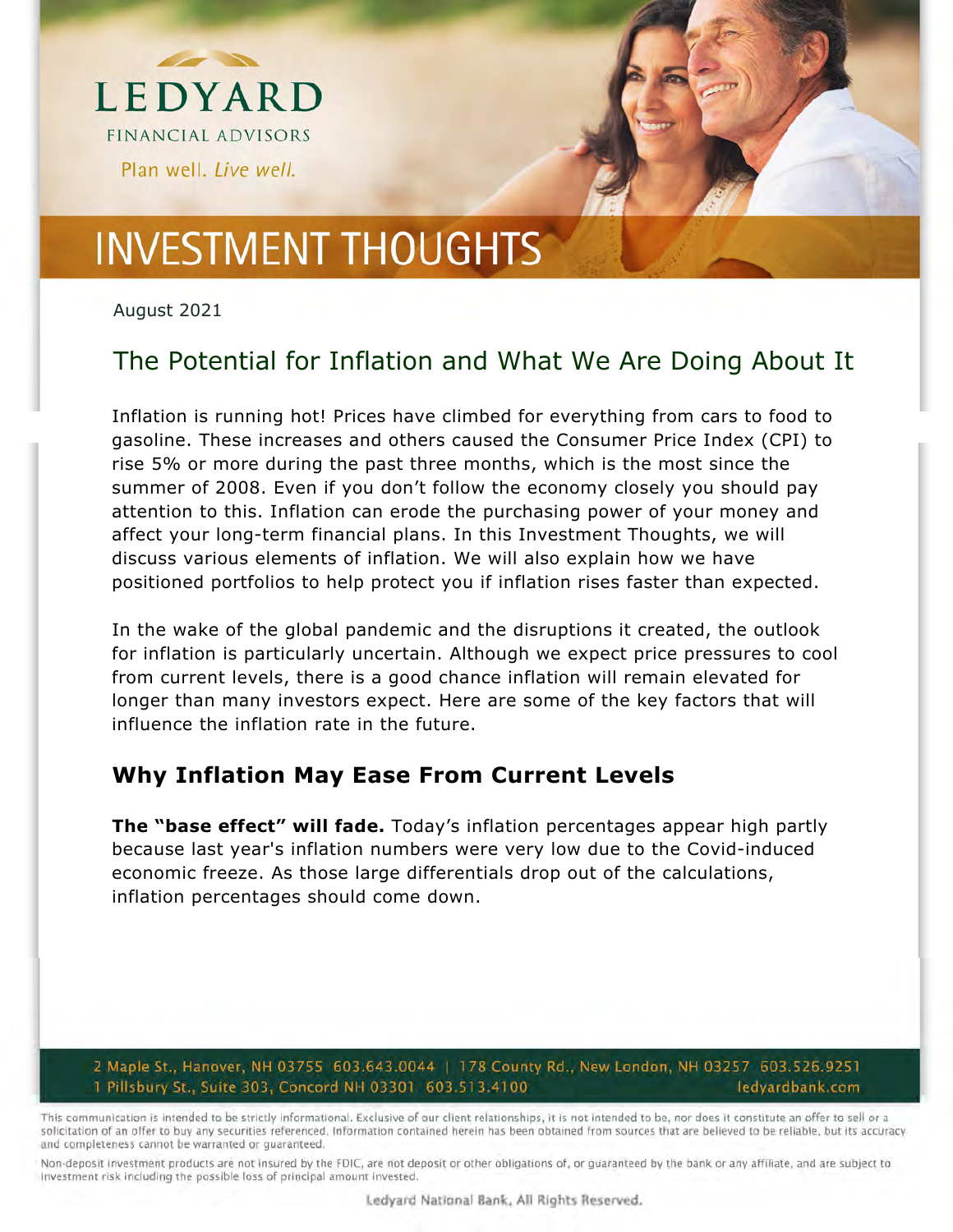

August 2021

### The Potential for Inflation and What We Are Doing About It

Inflation is running hot! Prices have climbed for everything from cars to food to gasoline. These increases and others caused the Consumer Price Index (CPI) to rise 5% or more during the past three months, which is the most since the summer of 2008. Even if you don't follow the economy closely you should pay attention to this. Inflation can erode the purchasing power of your money and affect your long-term financial plans. In this Investment Thoughts, we will discuss various elements of inflation. We will also explain how we have positioned portfolios to help protect you if inflation rises faster than expected.

In the wake of the global pandemic and the disruptions it created, the outlook for inflation is particularly uncertain. Although we expect price pressures to cool from current levels, there is a good chance inflation will remain elevated for longer than many investors expect. Here are some of the key factors that will influence the inflation rate in the future.

#### **Why Inflation May Ease From Current Levels**

**The "base effect" will fade.** Today's inflation percentages appear high partly because last year's inflation numbers were very low due to the Covid-induced economic freeze. As those large differentials drop out of the calculations, inflation percentages should come down.

#### 2 Maple St., Hanover, NH 03755 603.643.0044 | 178 County Rd., New London, NH 03257 603.526.9251 1 Pillsbury St., Suite 303, Concord NH 03301 603.513.4100 ledyardbank.com

This communication is intended to be strictly informational. Exclusive of our client relationships, it is not intended to be, nor does it constitute an offer to sell or a solicitation of an offer to buy any securities referenced. Information contained herein has been obtained from sources that are believed to be reliable, but its accuracy and completeness cannot be warranted or guaranteed.

Non-deposit investment products are not insured by the FDIC, are not deposit or other obligations of, or quaranteed by the bank or any affiliate, and are subject to Investment risk including the possible loss of principal amount invested.

Ledyard National Bank, All Rights Reserved.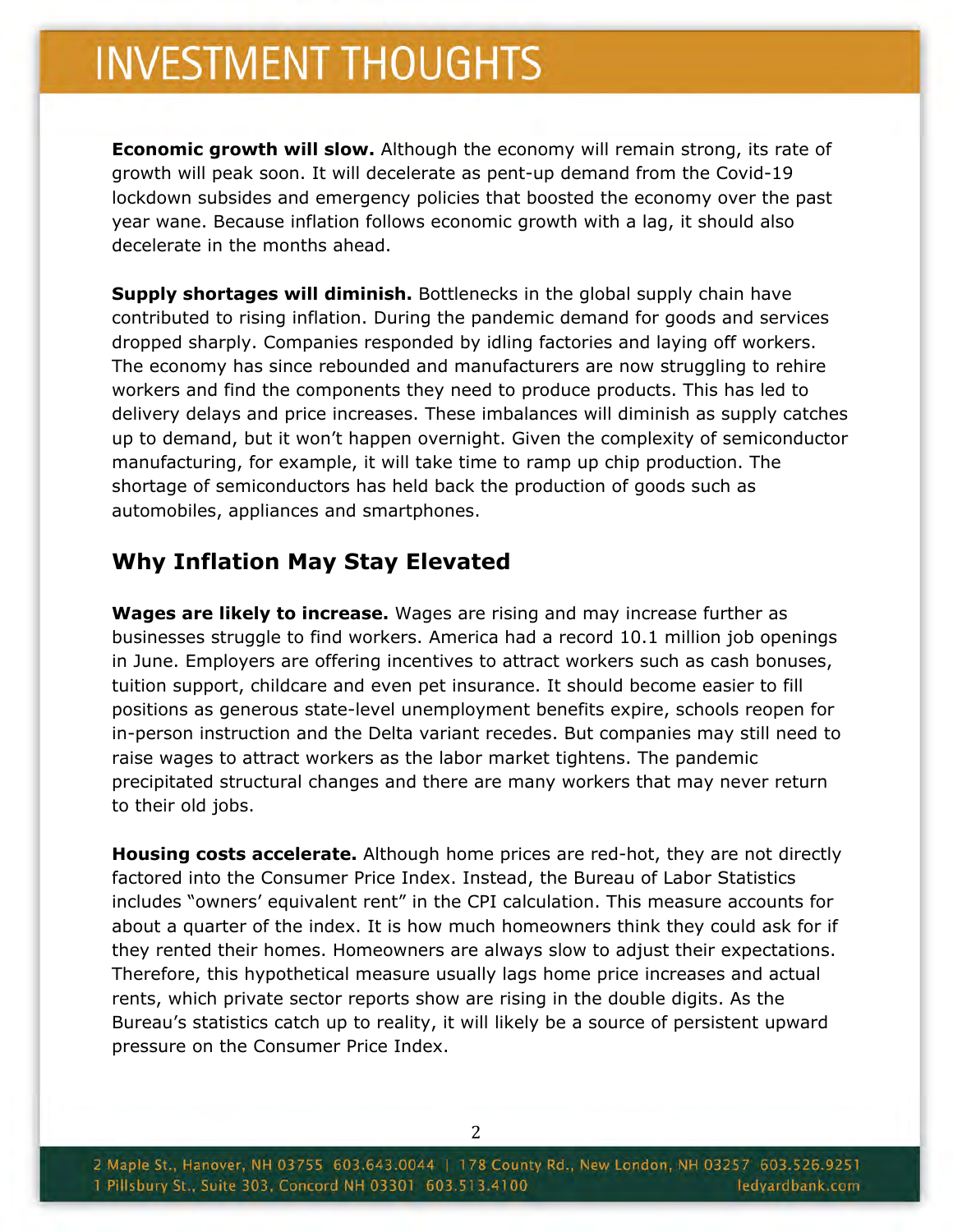**Economic growth will slow.** Although the economy will remain strong, its rate of growth will peak soon. It will decelerate as pent-up demand from the Covid-19 lockdown subsides and emergency policies that boosted the economy over the past year wane. Because inflation follows economic growth with a lag, it should also decelerate in the months ahead.

**Supply shortages will diminish.** Bottlenecks in the global supply chain have contributed to rising inflation. During the pandemic demand for goods and services dropped sharply. Companies responded by idling factories and laying off workers. The economy has since rebounded and manufacturers are now struggling to rehire workers and find the components they need to produce products. This has led to delivery delays and price increases. These imbalances will diminish as supply catches up to demand, but it won't happen overnight. Given the complexity of semiconductor manufacturing, for example, it will take time to ramp up chip production. The shortage of semiconductors has held back the production of goods such as automobiles, appliances and smartphones.

#### **Why Inflation May Stay Elevated**

**Wages are likely to increase.** Wages are rising and may increase further as businesses struggle to find workers. America had a record 10.1 million job openings in June. Employers are offering incentives to attract workers such as cash bonuses, tuition support, childcare and even pet insurance. It should become easier to fill positions as generous state-level unemployment benefits expire, schools reopen for in-person instruction and the Delta variant recedes. But companies may still need to raise wages to attract workers as the labor market tightens. The pandemic precipitated structural changes and there are many workers that may never return to their old jobs.

**Housing costs accelerate.** Although home prices are red-hot, they are not directly factored into the Consumer Price Index. Instead, the Bureau of Labor Statistics includes "owners' equivalent rent" in the CPI calculation. This measure accounts for about a quarter of the index. It is how much homeowners think they could ask for if they rented their homes. Homeowners are always slow to adjust their expectations. Therefore, this hypothetical measure usually lags home price increases and actual rents, which private sector reports show are rising in the double digits. As the Bureau's statistics catch up to reality, it will likely be a source of persistent upward pressure on the Consumer Price Index.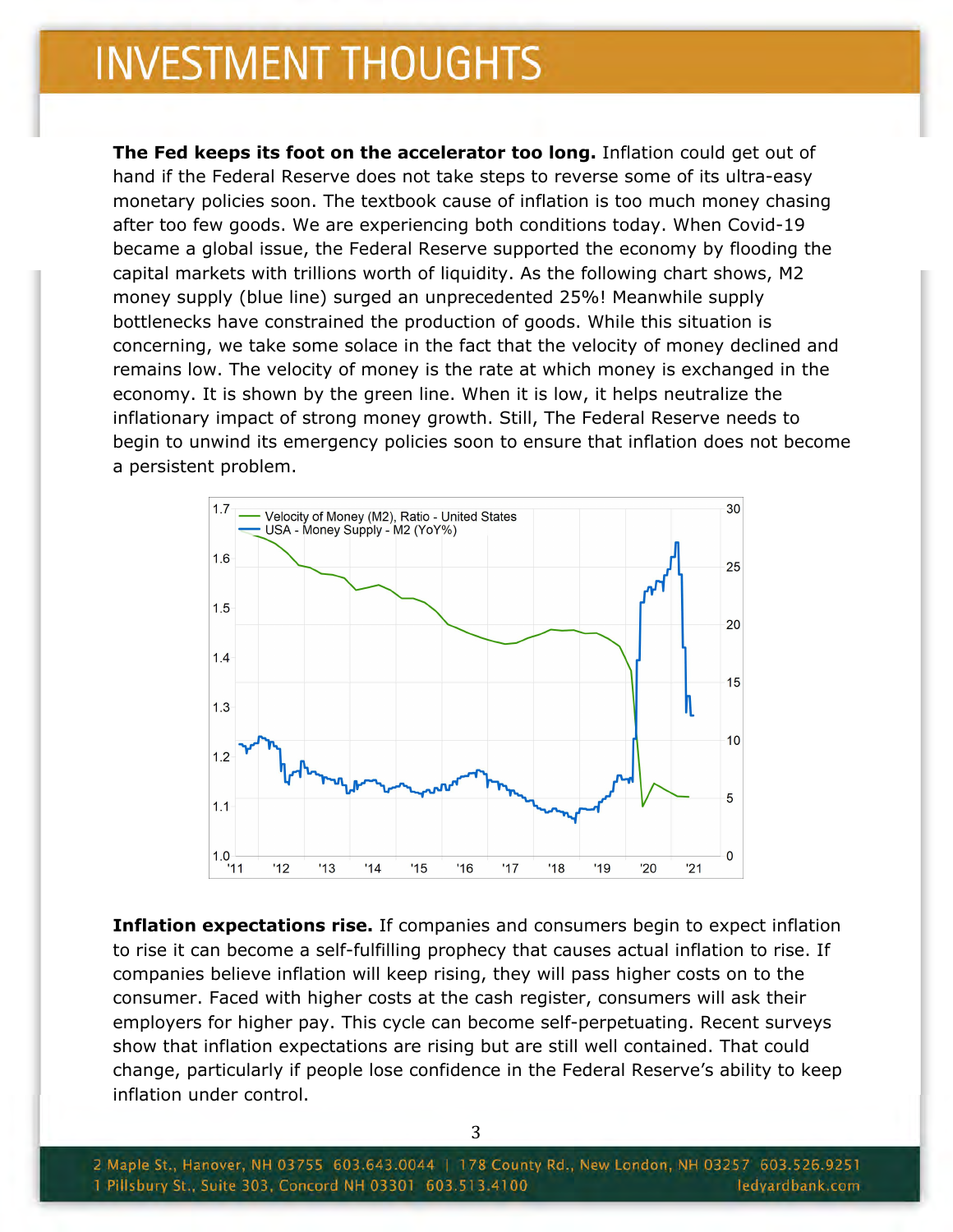**The Fed keeps its foot on the accelerator too long.** Inflation could get out of hand if the Federal Reserve does not take steps to reverse some of its ultra-easy monetary policies soon. The textbook cause of inflation is too much money chasing after too few goods. We are experiencing both conditions today. When Covid-19 became a global issue, the Federal Reserve supported the economy by flooding the capital markets with trillions worth of liquidity. As the following chart shows, M2 money supply (blue line) surged an unprecedented 25%! Meanwhile supply bottlenecks have constrained the production of goods. While this situation is concerning, we take some solace in the fact that the velocity of money declined and remains low. The velocity of money is the rate at which money is exchanged in the economy. It is shown by the green line. When it is low, it helps neutralize the inflationary impact of strong money growth. Still, The Federal Reserve needs to begin to unwind its emergency policies soon to ensure that inflation does not become a persistent problem.



**Inflation expectations rise.** If companies and consumers begin to expect inflation to rise it can become a self-fulfilling prophecy that causes actual inflation to rise. If companies believe inflation will keep rising, they will pass higher costs on to the consumer. Faced with higher costs at the cash register, consumers will ask their employers for higher pay. This cycle can become self-perpetuating. Recent surveys show that inflation expectations are rising but are still well contained. That could change, particularly if people lose confidence in the Federal Reserve's ability to keep inflation under control.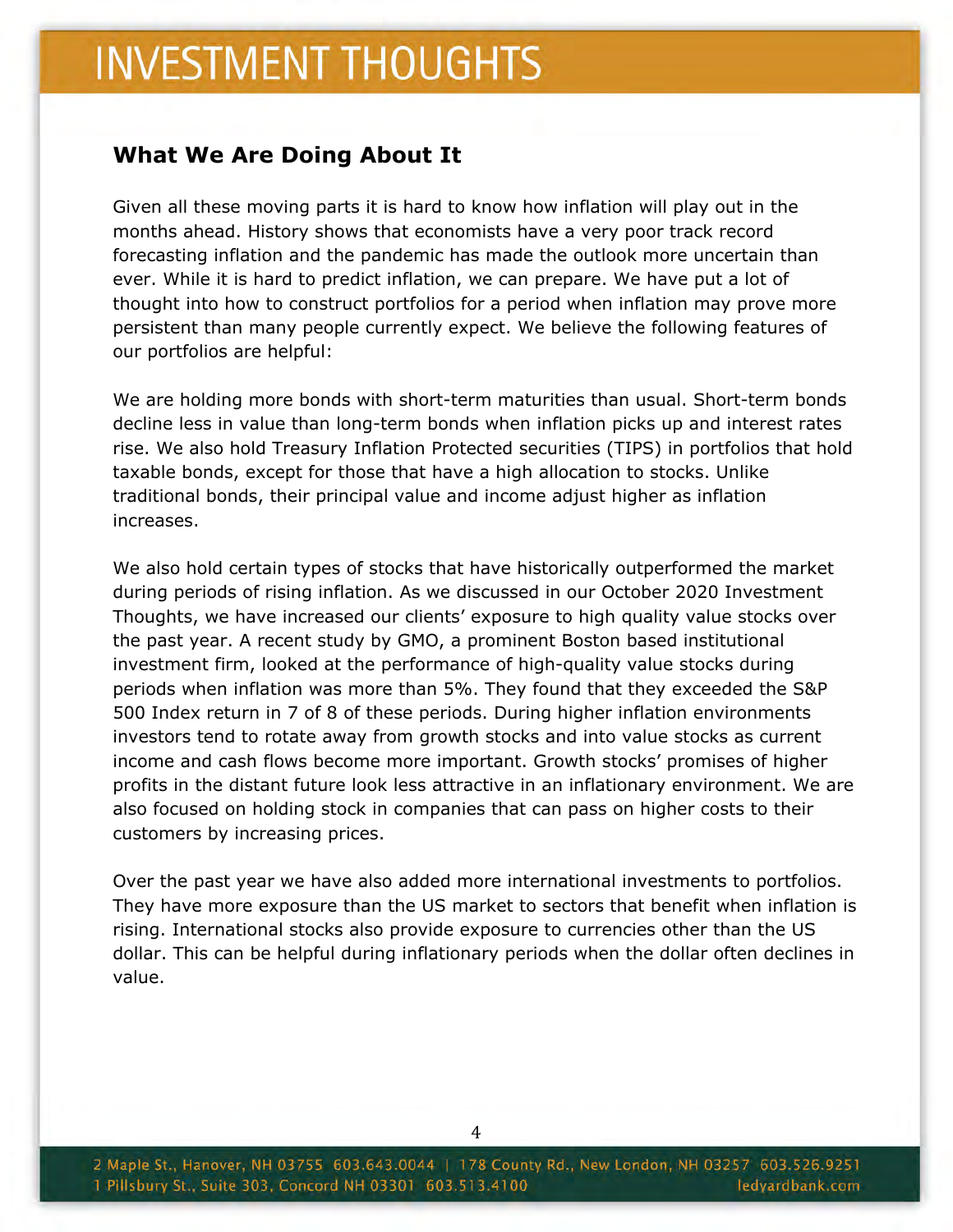#### **What We Are Doing About It**

Given all these moving parts it is hard to know how inflation will play out in the months ahead. History shows that economists have a very poor track record forecasting inflation and the pandemic has made the outlook more uncertain than ever. While it is hard to predict inflation, we can prepare. We have put a lot of thought into how to construct portfolios for a period when inflation may prove more persistent than many people currently expect. We believe the following features of our portfolios are helpful:

We are holding more bonds with short-term maturities than usual. Short-term bonds decline less in value than long-term bonds when inflation picks up and interest rates rise. We also hold Treasury Inflation Protected securities (TIPS) in portfolios that hold taxable bonds, except for those that have a high allocation to stocks. Unlike traditional bonds, their principal value and income adjust higher as inflation increases.

We also hold certain types of stocks that have historically outperformed the market during periods of rising inflation. As we discussed in our October 2020 Investment Thoughts, we have increased our clients' exposure to high quality value stocks over the past year. A recent study by GMO, a prominent Boston based institutional investment firm, looked at the performance of high-quality value stocks during periods when inflation was more than 5%. They found that they exceeded the S&P 500 Index return in 7 of 8 of these periods. During higher inflation environments investors tend to rotate away from growth stocks and into value stocks as current income and cash flows become more important. Growth stocks' promises of higher profits in the distant future look less attractive in an inflationary environment. We are also focused on holding stock in companies that can pass on higher costs to their customers by increasing prices.

Over the past year we have also added more international investments to portfolios. They have more exposure than the US market to sectors that benefit when inflation is rising. International stocks also provide exposure to currencies other than the US dollar. This can be helpful during inflationary periods when the dollar often declines in value.